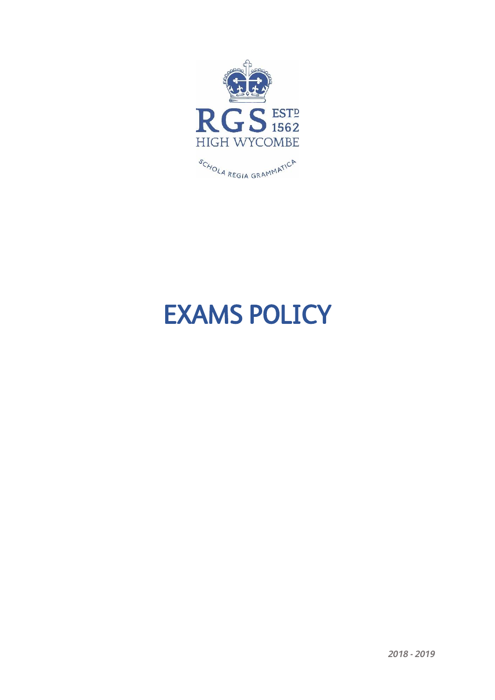

# EXAMS POLICY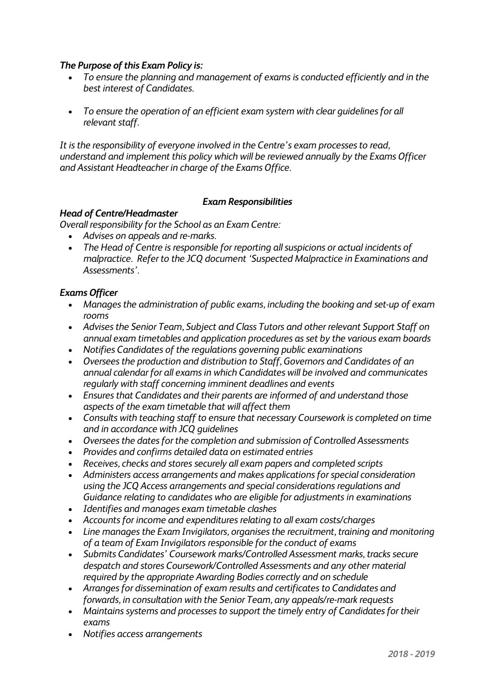## *The Purpose of this Exam Policy is:*

- *To ensure the planning and management of exams is conducted efficiently and in the best interest of Candidates.*
- *To ensure the operation of an efficient exam system with clear guidelines for all relevant staff.*

*It is the responsibility of everyone involved in the Centre's exam processes to read, understand and implement this policy which will be reviewed annually by the Exams Officer and Assistant Headteacher in charge of the Exams Office.*

## *Exam Responsibilities*

## *Head of Centre/Headmaster*

*Overall responsibility for the School as an Exam Centre:*

- *Advises on appeals and re-marks.*
- *The Head of Centre is responsible for reporting all suspicions or actual incidents of malpractice. Refer to the JCQ document 'Suspected Malpractice in Examinations and Assessments'.*

## *Exams Officer*

- *Manages the administration of public exams, including the booking and set-up of exam rooms*
- *Advises the Senior Team, Subject and Class Tutors and other relevant Support Staff on annual exam timetables and application procedures as set by the various exam boards*
- *Notifies Candidates of the regulations governing public examinations*
- *Oversees the production and distribution to Staff, Governors and Candidates of an annual calendar for all exams in which Candidates will be involved and communicates regularly with staff concerning imminent deadlines and events*
- *Ensures that Candidates and their parents are informed of and understand those aspects of the exam timetable that will affect them*
- *Consults with teaching staff to ensure that necessary Coursework is completed on time and in accordance with JCQ guidelines*
- *Oversees the dates for the completion and submission of Controlled Assessments*
- *Provides and confirms detailed data on estimated entries*
- *Receives, checks and stores securely all exam papers and completed scripts*
- *Administers access arrangements and makes applications for special consideration using the JCQ Access arrangements and special considerations regulations and Guidance relating to candidates who are eligible for adjustments in examinations*
- *Identifies and manages exam timetable clashes*
- *Accounts for income and expenditures relating to all exam costs/charges*
- *Line manages the Exam Invigilators, organises the recruitment, training and monitoring of a team of Exam Invigilators responsible for the conduct of exams*
- *Submits Candidates' Coursework marks/Controlled Assessment marks, tracks secure despatch and stores Coursework/Controlled Assessments and any other material required by the appropriate Awarding Bodies correctly and on schedule*
- *Arranges for dissemination of exam results and certificates to Candidates and forwards, in consultation with the Senior Team, any appeals/re-mark requests*
- *Maintains systems and processes to support the timely entry of Candidates for their exams*
- *Notifies access arrangements*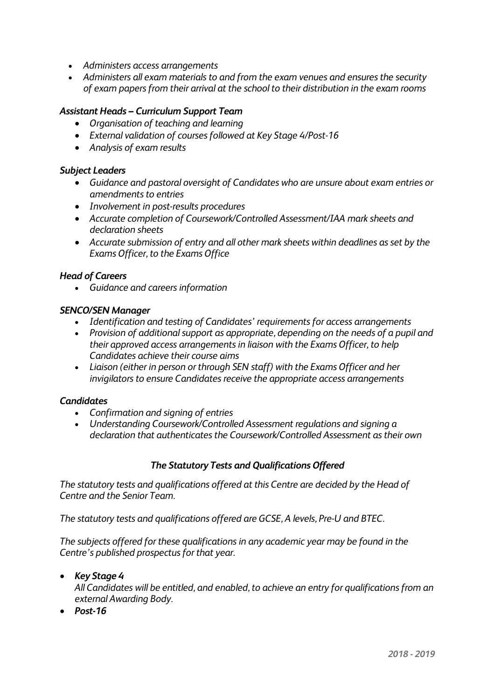- *Administers access arrangements*
- *Administers all exam materials to and from the exam venues and ensures the security of exam papers from their arrival at the school to their distribution in the exam rooms*

#### *Assistant Heads – Curriculum Support Team*

- *Organisation of teaching and learning*
- *External validation of courses followed at Key Stage 4/Post-16*
- *Analysis of exam results*

#### *Subject Leaders*

- *Guidance and pastoral oversight of Candidates who are unsure about exam entries or amendments to entries*
- *Involvement in post-results procedures*
- *Accurate completion of Coursework/Controlled Assessment/IAA mark sheets and declaration sheets*
- *Accurate submission of entry and all other mark sheets within deadlines as set by the Exams Officer, to the Exams Office*

#### *Head of Careers*

*Guidance and careers information*

#### *SENCO/SEN Manager*

- *Identification and testing of Candidates' requirements for access arrangements*
- *Provision of additional support as appropriate, depending on the needs of a pupil and their approved access arrangements in liaison with the Exams Officer, to help Candidates achieve their course aims*
- *Liaison (either in person or through SEN staff) with the Exams Officer and her invigilators to ensure Candidates receive the appropriate access arrangements*

#### *Candidates*

- *Confirmation and signing of entries*
- *Understanding Coursework/Controlled Assessment regulations and signing a declaration that authenticates the Coursework/Controlled Assessment as their own*

#### *The Statutory Tests and Qualifications Offered*

*The statutory tests and qualifications offered at this Centre are decided by the Head of Centre and the Senior Team.*

*The statutory tests and qualifications offered are GCSE, A levels, Pre-U and BTEC.*

*The subjects offered for these qualifications in any academic year may be found in the Centre's published prospectus for that year.* 

#### *Key Stage 4*

*All Candidates will be entitled, and enabled, to achieve an entry for qualifications from an external Awarding Body.*

*Post-16*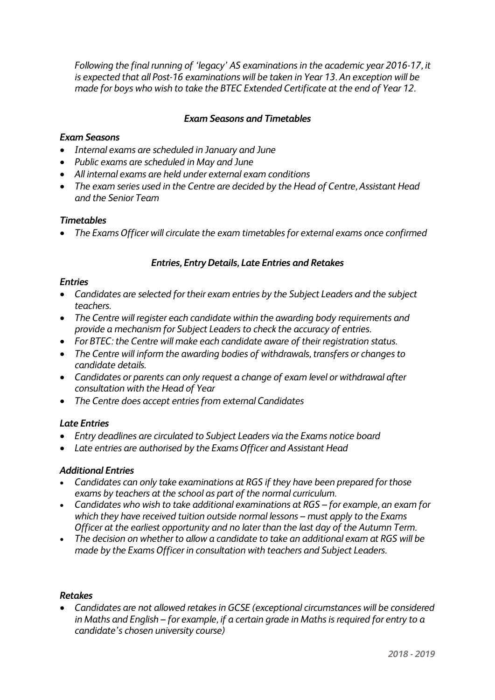*Following the final running of 'legacy' AS examinations in the academic year 2016-17, it is expected that all Post-16 examinations will be taken in Year 13. An exception will be made for boys who wish to take the BTEC Extended Certificate at the end of Year 12.*

## *Exam Seasons and Timetables*

#### *Exam Seasons*

- *Internal exams are scheduled in January and June*
- *Public exams are scheduled in May and June*
- *All internal exams are held under external exam conditions*
- *The exam series used in the Centre are decided by the Head of Centre, Assistant Head and the Senior Team*

#### *Timetables*

*The Exams Officer will circulate the exam timetables for external exams once confirmed*

## *Entries, Entry Details, Late Entries and Retakes*

#### *Entries*

- *Candidates are selected for their exam entries by the Subject Leaders and the subject teachers.*
- *The Centre will register each candidate within the awarding body requirements and provide a mechanism for Subject Leaders to check the accuracy of entries.*
- *For BTEC: the Centre will make each candidate aware of their registration status.*
- *The Centre will inform the awarding bodies of withdrawals, transfers or changes to candidate details.*
- *Candidates or parents can only request a change of exam level or withdrawal after consultation with the Head of Year*
- *The Centre does accept entries from external Candidates*

#### *Late Entries*

- *Entry deadlines are circulated to Subject Leaders via the Exams notice board*
- *Late entries are authorised by the Exams Officer and Assistant Head*

#### *Additional Entries*

- *Candidates can only take examinations at RGS if they have been prepared for those exams by teachers at the school as part of the normal curriculum.*
- *Candidates who wish to take additional examinations at RGS – for example, an exam for which they have received tuition outside normal lessons – must apply to the Exams Officer at the earliest opportunity and no later than the last day of the Autumn Term.*
- *The decision on whether to allow a candidate to take an additional exam at RGS will be made by the Exams Officer in consultation with teachers and Subject Leaders.*

#### *Retakes*

 *Candidates are not allowed retakes in GCSE (exceptional circumstances will be considered in Maths and English – for example, if a certain grade in Maths is required for entry to a candidate's chosen university course)*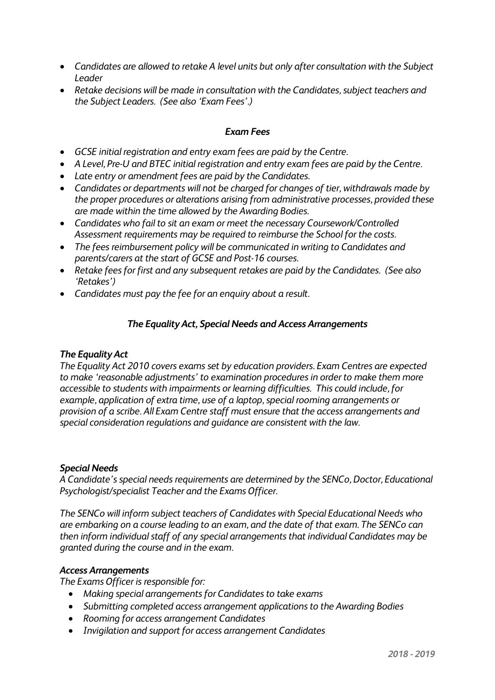- *Candidates are allowed to retake A level units but only after consultation with the Subject Leader*
- *Retake decisions will be made in consultation with the Candidates, subject teachers and the Subject Leaders. (See also 'Exam Fees'.)*

## *Exam Fees*

- *GCSE initial registration and entry exam fees are paid by the Centre.*
- *A Level, Pre-U and BTEC initial registration and entry exam fees are paid by the Centre.*
- *Late entry or amendment fees are paid by the Candidates.*
- *Candidates or departments will not be charged for changes of tier, withdrawals made by the proper procedures or alterations arising from administrative processes, provided these are made within the time allowed by the Awarding Bodies.*
- *Candidates who fail to sit an exam or meet the necessary Coursework/Controlled Assessment requirements may be required to reimburse the School for the costs.*
- *The fees reimbursement policy will be communicated in writing to Candidates and parents/carers at the start of GCSE and Post-16 courses.*
- *Retake fees for first and any subsequent retakes are paid by the Candidates. (See also 'Retakes')*
- *Candidates must pay the fee for an enquiry about a result.*

## *The Equality Act, Special Needs and Access Arrangements*

## *The Equality Act*

*The Equality Act 2010 covers exams set by education providers. Exam Centres are expected to make 'reasonable adjustments' to examination procedures in order to make them more accessible to students with impairments or learning difficulties. This could include, for example, application of extra time, use of a laptop, special rooming arrangements or provision of a scribe. All Exam Centre staff must ensure that the access arrangements and special consideration regulations and guidance are consistent with the law.* 

#### *Special Needs*

*A Candidate's special needs requirements are determined by the SENCo, Doctor, Educational Psychologist/specialist Teacher and the Exams Officer.*

*The SENCo will inform subject teachers of Candidates with Special Educational Needs who are embarking on a course leading to an exam, and the date of that exam. The SENCo can then inform individual staff of any special arrangements that individual Candidates may be granted during the course and in the exam.*

#### *Access Arrangements*

*The Exams Officer is responsible for:*

- *Making special arrangements for Candidates to take exams*
- *Submitting completed access arrangement applications to the Awarding Bodies*
- *Rooming for access arrangement Candidates*
- *Invigilation and support for access arrangement Candidates*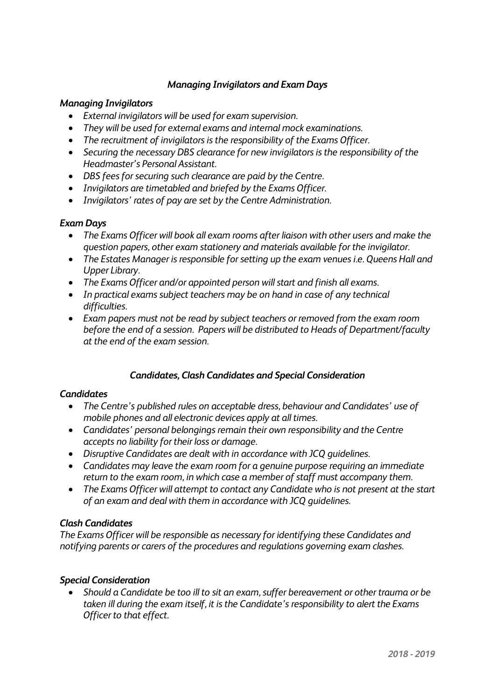## *Managing Invigilators and Exam Days*

## *Managing Invigilators*

- *External invigilators will be used for exam supervision.*
- *They will be used for external exams and internal mock examinations.*
- *The recruitment of invigilators is the responsibility of the Exams Officer.*
- *Securing the necessary DBS clearance for new invigilators is the responsibility of the Headmaster's Personal Assistant.*
- *DBS fees for securing such clearance are paid by the Centre.*
- *Invigilators are timetabled and briefed by the Exams Officer.*
- *Invigilators' rates of pay are set by the Centre Administration.*

## *Exam Days*

- *The Exams Officer will book all exam rooms after liaison with other users and make the question papers, other exam stationery and materials available for the invigilator.*
- *The Estates Manager is responsible for setting up the exam venues i.e. Queens Hall and Upper Library.*
- *The Exams Officer and/or appointed person will start and finish all exams.*
- *In practical exams subject teachers may be on hand in case of any technical difficulties.*
- *Exam papers must not be read by subject teachers or removed from the exam room before the end of a session. Papers will be distributed to Heads of Department/faculty at the end of the exam session.*

## *Candidates, Clash Candidates and Special Consideration*

## *Candidates*

- *The Centre's published rules on acceptable dress, behaviour and Candidates' use of mobile phones and all electronic devices apply at all times.*
- *Candidates' personal belongings remain their own responsibility and the Centre accepts no liability for their loss or damage.*
- *Disruptive Candidates are dealt with in accordance with JCQ guidelines.*
- *Candidates may leave the exam room for a genuine purpose requiring an immediate return to the exam room, in which case a member of staff must accompany them.*
- *The Exams Officer will attempt to contact any Candidate who is not present at the start of an exam and deal with them in accordance with JCQ guidelines.*

## *Clash Candidates*

*The Exams Officer will be responsible as necessary for identifying these Candidates and notifying parents or carers of the procedures and regulations governing exam clashes.*

## *Special Consideration*

 *Should a Candidate be too ill to sit an exam, suffer bereavement or other trauma or be taken ill during the exam itself, it is the Candidate's responsibility to alert the Exams Officer to that effect.*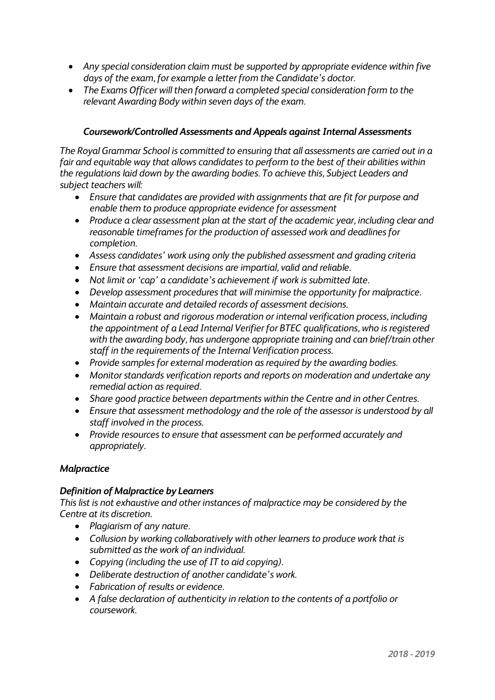- *Any special consideration claim must be supported by appropriate evidence within five days of the exam, for example a letter from the Candidate's doctor.*
- *The Exams Officer will then forward a completed special consideration form to the relevant Awarding Body within seven days of the exam.*

## *Coursework/Controlled Assessments and Appeals against Internal Assessments*

*The Royal Grammar School is committed to ensuring that all assessments are carried out in a fair and equitable way that allows candidates to perform to the best of their abilities within the regulations laid down by the awarding bodies. To achieve this, Subject Leaders and subject teachers will:*

- *Ensure that candidates are provided with assignments that are fit for purpose and enable them to produce appropriate evidence for assessment*
- *Produce a clear assessment plan at the start of the academic year, including clear and reasonable timeframes for the production of assessed work and deadlines for completion.*
- *Assess candidates' work using only the published assessment and grading criteria*
- *Ensure that assessment decisions are impartial, valid and reliable.*
- *Not limit or 'cap' a candidate's achievement if work is submitted late.*
- *Develop assessment procedures that will minimise the opportunity for malpractice.*
- *Maintain accurate and detailed records of assessment decisions.*
- *Maintain a robust and rigorous moderation or internal verification process, including the appointment of a Lead Internal Verifier for BTEC qualifications, who is registered with the awarding body, has undergone appropriate training and can brief/train other staff in the requirements of the Internal Verification process.*
- *Provide samples for external moderation as required by the awarding bodies.*
- *Monitor standards verification reports and reports on moderation and undertake any remedial action as required.*
- *Share good practice between departments within the Centre and in other Centres.*
- *Ensure that assessment methodology and the role of the assessor is understood by all staff involved in the process.*
- *Provide resources to ensure that assessment can be performed accurately and appropriately.*

## *Malpractice*

## *Definition of Malpractice by Learners*

*This list is not exhaustive and other instances of malpractice may be considered by the Centre at its discretion.*

- *Plagiarism of any nature.*
- *Collusion by working collaboratively with other learners to produce work that is submitted as the work of an individual.*
- *Copying (including the use of IT to aid copying).*
- *Deliberate destruction of another candidate's work.*
- *Fabrication of results or evidence.*
- *A false declaration of authenticity in relation to the contents of a portfolio or coursework.*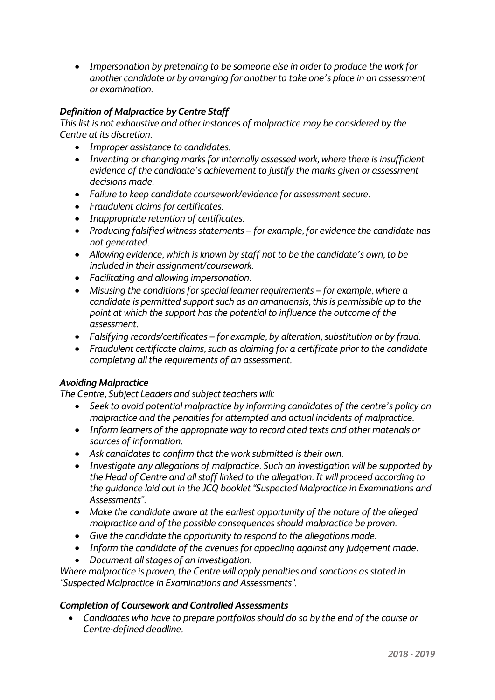*Impersonation by pretending to be someone else in order to produce the work for another candidate or by arranging for another to take one's place in an assessment or examination.*

## *Definition of Malpractice by Centre Staff*

*This list is not exhaustive and other instances of malpractice may be considered by the Centre at its discretion.*

- *Improper assistance to candidates.*
- *Inventing or changing marks for internally assessed work, where there is insufficient evidence of the candidate's achievement to justify the marks given or assessment decisions made.*
- *Failure to keep candidate coursework/evidence for assessment secure.*
- *Fraudulent claims for certificates.*
- *Inappropriate retention of certificates.*
- *Producing falsified witness statements – for example, for evidence the candidate has not generated.*
- *Allowing evidence, which is known by staff not to be the candidate's own, to be included in their assignment/coursework.*
- *Facilitating and allowing impersonation.*
- *Misusing the conditions for special learner requirements – for example, where a candidate is permitted support such as an amanuensis, this is permissible up to the point at which the support has the potential to influence the outcome of the assessment.*
- *Falsifying records/certificates – for example, by alteration, substitution or by fraud.*
- *Fraudulent certificate claims, such as claiming for a certificate prior to the candidate completing all the requirements of an assessment.*

#### *Avoiding Malpractice*

*The Centre, Subject Leaders and subject teachers will:*

- *Seek to avoid potential malpractice by informing candidates of the centre's policy on malpractice and the penalties for attempted and actual incidents of malpractice.*
- *Inform learners of the appropriate way to record cited texts and other materials or sources of information.*
- *Ask candidates to confirm that the work submitted is their own.*
- *Investigate any allegations of malpractice. Such an investigation will be supported by the Head of Centre and all staff linked to the allegation. It will proceed according to the guidance laid out in the JCQ booklet "Suspected Malpractice in Examinations and Assessments".*
- *Make the candidate aware at the earliest opportunity of the nature of the alleged malpractice and of the possible consequences should malpractice be proven.*
- *Give the candidate the opportunity to respond to the allegations made.*
- *Inform the candidate of the avenues for appealing against any judgement made.*
- *Document all stages of an investigation.*

*Where malpractice is proven, the Centre will apply penalties and sanctions as stated in "Suspected Malpractice in Examinations and Assessments".*

#### *Completion of Coursework and Controlled Assessments*

 *Candidates who have to prepare portfolios should do so by the end of the course or Centre-defined deadline.*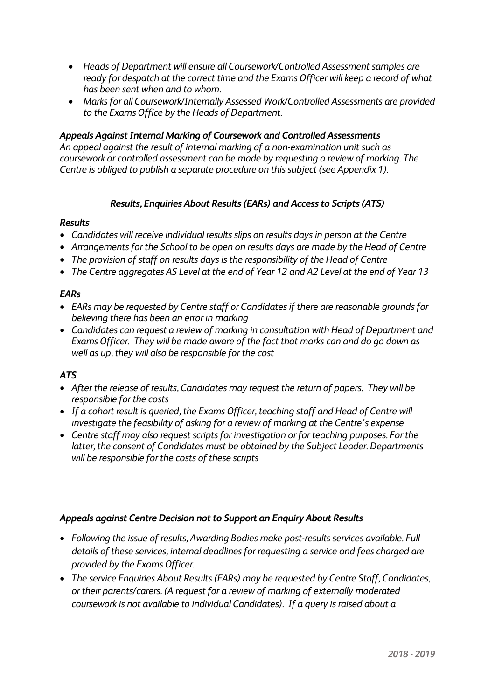- *Heads of Department will ensure all Coursework/Controlled Assessment samples are ready for despatch at the correct time and the Exams Officer will keep a record of what has been sent when and to whom.*
- *Marks for all Coursework/Internally Assessed Work/Controlled Assessments are provided to the Exams Office by the Heads of Department.*

## *Appeals Against Internal Marking of Coursework and Controlled Assessments*

*An appeal against the result of internal marking of a non-examination unit such as coursework or controlled assessment can be made by requesting a review of marking. The Centre is obliged to publish a separate procedure on this subject (see Appendix 1).*

## *Results, Enquiries About Results (EARs) and Access to Scripts (ATS)*

#### *Results*

- *Candidates will receive individual results slips on results days in person at the Centre*
- *Arrangements for the School to be open on results days are made by the Head of Centre*
- *The provision of staff on results days is the responsibility of the Head of Centre*
- *The Centre aggregates AS Level at the end of Year 12 and A2 Level at the end of Year 13*

#### *EARs*

- *EARs may be requested by Centre staff or Candidates if there are reasonable grounds for believing there has been an error in marking*
- *Candidates can request a review of marking in consultation with Head of Department and Exams Officer. They will be made aware of the fact that marks can and do go down as well as up, they will also be responsible for the cost*

## *ATS*

- *After the release of results, Candidates may request the return of papers. They will be responsible for the costs*
- *If a cohort result is queried, the Exams Officer, teaching staff and Head of Centre will investigate the feasibility of asking for a review of marking at the Centre's expense*
- *Centre staff may also request scripts for investigation or for teaching purposes. For the latter, the consent of Candidates must be obtained by the Subject Leader. Departments will be responsible for the costs of these scripts*

#### *Appeals against Centre Decision not to Support an Enquiry About Results*

- *Following the issue of results, Awarding Bodies make post-results services available. Full details of these services, internal deadlines for requesting a service and fees charged are provided by the Exams Officer.*
- *The service Enquiries About Results (EARs) may be requested by Centre Staff, Candidates, or their parents/carers. (A request for a review of marking of externally moderated coursework is not available to individual Candidates). If a query is raised about a*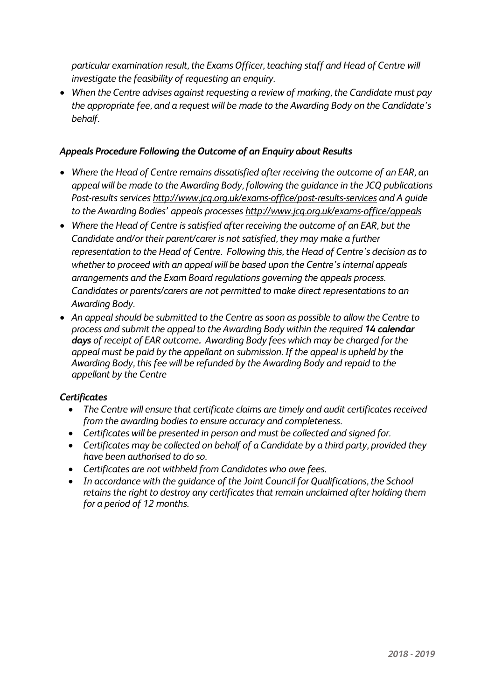*particular examination result, the Exams Officer, teaching staff and Head of Centre will investigate the feasibility of requesting an enquiry.*

 *When the Centre advises against requesting a review of marking, the Candidate must pay the appropriate fee, and a request will be made to the Awarding Body on the Candidate's behalf.* 

## *Appeals Procedure Following the Outcome of an Enquiry about Results*

- *Where the Head of Centre remains dissatisfied after receiving the outcome of an EAR, an appeal will be made to the Awarding Body, following the guidance in the JCQ publications Post-results services <http://www.jcq.org.uk/exams-office/post-results-services> and A guide to the Awarding Bodies' appeals processes <http://www.jcq.org.uk/exams-office/appeals>*
- *Where the Head of Centre is satisfied after receiving the outcome of an EAR, but the Candidate and/or their parent/carer is not satisfied, they may make a further representation to the Head of Centre. Following this, the Head of Centre's decision as to whether to proceed with an appeal will be based upon the Centre's internal appeals arrangements and the Exam Board regulations governing the appeals process. Candidates or parents/carers are not permitted to make direct representations to an Awarding Body.*
- *An appeal should be submitted to the Centre as soon as possible to allow the Centre to process and submit the appeal to the Awarding Body within the required 14 calendar days of receipt of EAR outcome. Awarding Body fees which may be charged for the appeal must be paid by the appellant on submission. If the appeal is upheld by the Awarding Body, this fee will be refunded by the Awarding Body and repaid to the appellant by the Centre*

## *Certificates*

- *The Centre will ensure that certificate claims are timely and audit certificates received from the awarding bodies to ensure accuracy and completeness.*
- *Certificates will be presented in person and must be collected and signed for.*
- *Certificates may be collected on behalf of a Candidate by a third party, provided they have been authorised to do so.*
- *Certificates are not withheld from Candidates who owe fees.*
- *In accordance with the guidance of the Joint Council for Qualifications, the School retains the right to destroy any certificates that remain unclaimed after holding them for a period of 12 months.*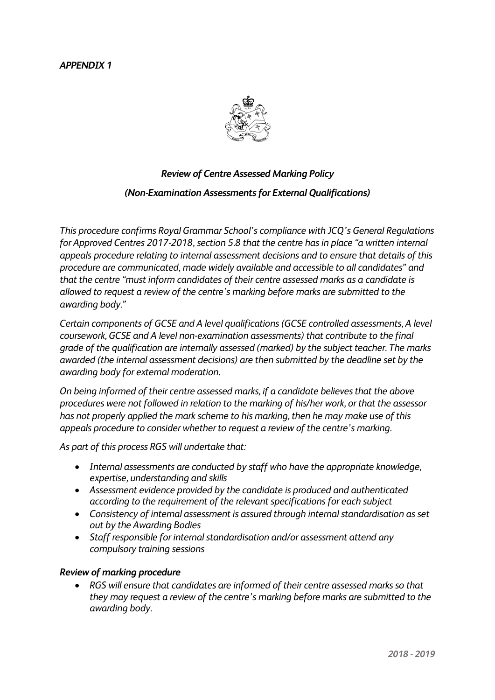## *APPENDIX 1*



## *Review of Centre Assessed Marking Policy*

## *(Non-Examination Assessments for External Qualifications)*

*This procedure confirms Royal Grammar School's compliance with JCQ's General Regulations for Approved Centres 2017-2018, section 5.8 that the centre has in place "a written internal appeals procedure relating to internal assessment decisions and to ensure that details of this procedure are communicated, made widely available and accessible to all candidates" and that the centre "must inform candidates of their centre assessed marks as a candidate is allowed to request a review of the centre's marking before marks are submitted to the awarding body."*

*Certain components of GCSE and A level qualifications (GCSE controlled assessments, A level coursework, GCSE and A level non-examination assessments) that contribute to the final grade of the qualification are internally assessed (marked) by the subject teacher. The marks awarded (the internal assessment decisions) are then submitted by the deadline set by the awarding body for external moderation.*

*On being informed of their centre assessed marks, if a candidate believes that the above procedures were not followed in relation to the marking of his/her work, or that the assessor has not properly applied the mark scheme to his marking, then he may make use of this appeals procedure to consider whether to request a review of the centre's marking.*

*As part of this process RGS will undertake that:*

- *Internal assessments are conducted by staff who have the appropriate knowledge, expertise, understanding and skills*
- *Assessment evidence provided by the candidate is produced and authenticated according to the requirement of the relevant specifications for each subject*
- *Consistency of internal assessment is assured through internal standardisation as set out by the Awarding Bodies*
- *Staff responsible for internal standardisation and/or assessment attend any compulsory training sessions*

#### *Review of marking procedure*

 *RGS will ensure that candidates are informed of their centre assessed marks so that they may request a review of the centre's marking before marks are submitted to the awarding body.*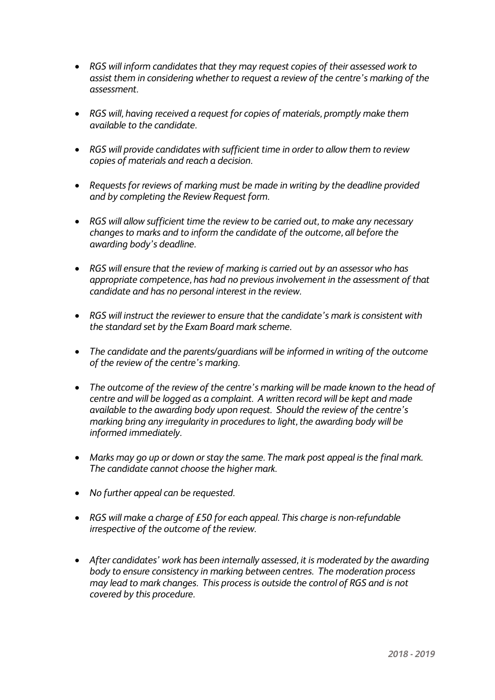- *RGS will inform candidates that they may request copies of their assessed work to assist them in considering whether to request a review of the centre's marking of the assessment.*
- *RGS will, having received a request for copies of materials, promptly make them available to the candidate.*
- *RGS will provide candidates with sufficient time in order to allow them to review copies of materials and reach a decision.*
- *Requests for reviews of marking must be made in writing by the deadline provided and by completing the Review Request form.*
- *RGS will allow sufficient time the review to be carried out, to make any necessary changes to marks and to inform the candidate of the outcome, all before the awarding body's deadline.*
- *RGS will ensure that the review of marking is carried out by an assessor who has appropriate competence, has had no previous involvement in the assessment of that candidate and has no personal interest in the review.*
- *RGS will instruct the reviewer to ensure that the candidate's mark is consistent with the standard set by the Exam Board mark scheme.*
- *The candidate and the parents/guardians will be informed in writing of the outcome of the review of the centre's marking.*
- *The outcome of the review of the centre's marking will be made known to the head of centre and will be logged as a complaint. A written record will be kept and made available to the awarding body upon request. Should the review of the centre's marking bring any irregularity in procedures to light, the awarding body will be informed immediately.*
- *Marks may go up or down or stay the same. The mark post appeal is the final mark. The candidate cannot choose the higher mark.*
- *No further appeal can be requested.*
- *RGS will make a charge of £50 for each appeal. This charge is non-refundable irrespective of the outcome of the review.*
- *After candidates' work has been internally assessed, it is moderated by the awarding body to ensure consistency in marking between centres. The moderation process may lead to mark changes. This process is outside the control of RGS and is not covered by this procedure.*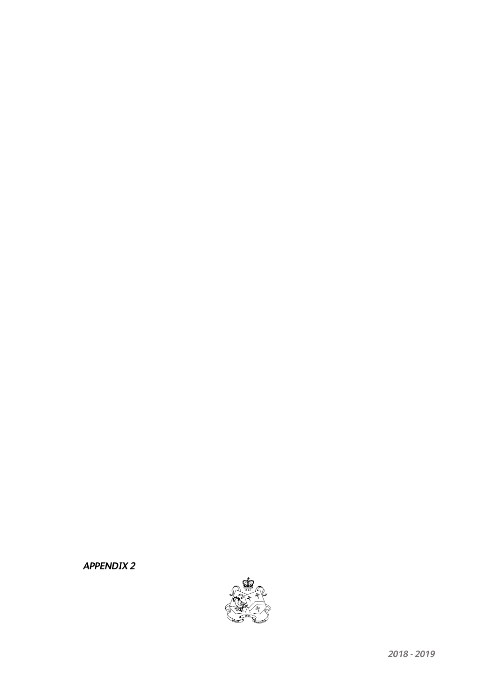#### *APPENDIX 2*

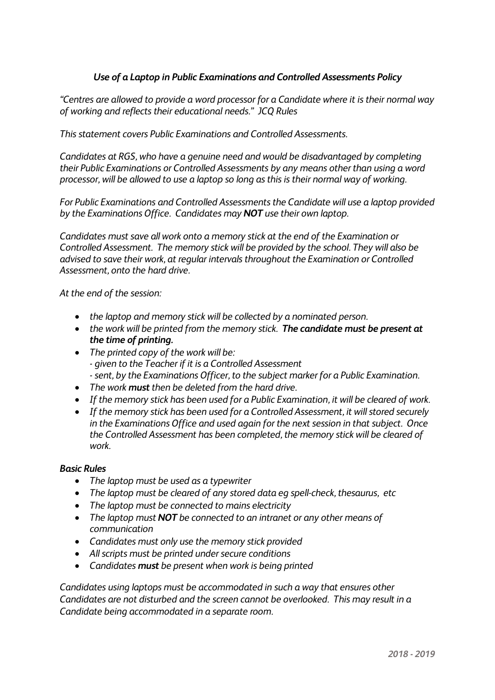## *Use of a Laptop in Public Examinations and Controlled Assessments Policy*

*"Centres are allowed to provide a word processor for a Candidate where it is their normal way of working and reflects their educational needs." JCQ Rules*

*This statement covers Public Examinations and Controlled Assessments.*

*Candidates at RGS, who have a genuine need and would be disadvantaged by completing their Public Examinations or Controlled Assessments by any means other than using a word processor, will be allowed to use a laptop so long as this is their normal way of working.*

*For Public Examinations and Controlled Assessments the Candidate will use a laptop provided by the Examinations Office. Candidates may NOT use their own laptop.*

*Candidates must save all work onto a memory stick at the end of the Examination or Controlled Assessment. The memory stick will be provided by the school. They will also be advised to save their work, at regular intervals throughout the Examination or Controlled Assessment, onto the hard drive.*

*At the end of the session:*

- *the laptop and memory stick will be collected by a nominated person.*
- *the work will be printed from the memory stick. The candidate must be present at the time of printing.*
- *The printed copy of the work will be: - given to the Teacher if it is a Controlled Assessment - sent, by the Examinations Officer, to the subject marker for a Public Examination.*
- *The work must then be deleted from the hard drive.*
- *If the memory stick has been used for a Public Examination, it will be cleared of work.*
- *If the memory stick has been used for a Controlled Assessment, it will stored securely in the Examinations Office and used again for the next session in that subject. Once the Controlled Assessment has been completed, the memory stick will be cleared of work.*

#### *Basic Rules*

- *The laptop must be used as a typewriter*
- *The laptop must be cleared of any stored data eg spell-check, thesaurus, etc*
- *The laptop must be connected to mains electricity*
- *The laptop must NOT be connected to an intranet or any other means of communication*
- *Candidates must only use the memory stick provided*
- *All scripts must be printed under secure conditions*
- *Candidates must be present when work is being printed*

*Candidates using laptops must be accommodated in such a way that ensures other Candidates are not disturbed and the screen cannot be overlooked. This may result in a Candidate being accommodated in a separate room.*